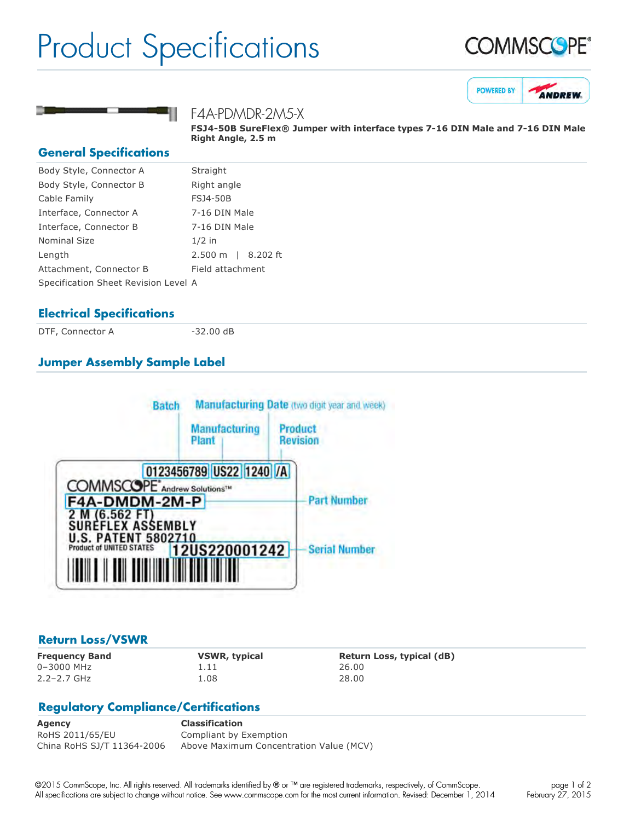## Product Specifications







F4A-PDMDR-2M5-X

**FSJ450B SureFlex® Jumper with interface types 716 DIN Male and 716 DIN Male Right Angle, 2.5 m**

#### **General Specifications**

| Body Style, Connector A              | Straight           |
|--------------------------------------|--------------------|
| Body Style, Connector B              | Right angle        |
| Cable Family                         | <b>FSJ4-50B</b>    |
| Interface, Connector A               | 7-16 DIN Male      |
| Interface, Connector B               | 7-16 DIN Male      |
| <b>Nominal Size</b>                  | $1/2$ in           |
| Length                               | 2.500 m   8.202 ft |
| Attachment, Connector B              | Field attachment   |
| Specification Sheet Revision Level A |                    |
|                                      |                    |

#### **Electrical Specifications**

DTF, Connector A 32.00 dB

### **Jumper Assembly Sample Label**



#### **Return Loss/VSWR**

0–3000 MHz 1.11 26.00 2.2–2.7 GHz 1.08 28.00

**Frequency Band VSWR, typical Return Loss, typical (dB)**

#### **Regulatory Compliance/Certifications**

**Agency Classification** RoHS 2011/65/EU Compliant by Exemption China RoHS SJ/T 11364-2006 Above Maximum Concentration Value (MCV)

©2015 CommScope, Inc. All rights reserved. All trademarks identified by ® or ™ are registered trademarks, respectively, of CommScope. All specifications are subject to change without notice. See www.commscope.com for the most current information. Revised: December 1, 2014